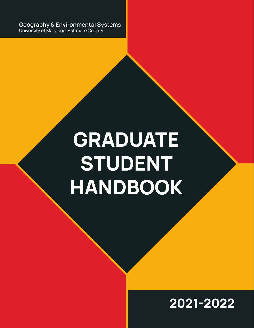**Geography & Environmental Systems** University of Maryland, Baltmore County

# **GRADUATE STUDENT HANDBOOK**

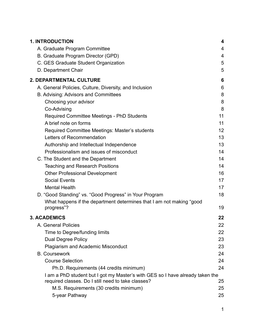| <b>1. INTRODUCTION</b>                                                        | 4  |
|-------------------------------------------------------------------------------|----|
| A. Graduate Program Committee                                                 | 4  |
| B. Graduate Program Director (GPD)                                            | 4  |
| C. GES Graduate Student Organization                                          | 5  |
| D. Department Chair                                                           | 5  |
| 2. DEPARTMENTAL CULTURE                                                       | 6  |
| A. General Policies, Culture, Diversity, and Inclusion                        | 6  |
| B. Advising: Advisors and Committees                                          | 8  |
| Choosing your advisor                                                         | 8  |
| Co-Advising                                                                   | 8  |
| <b>Required Committee Meetings - PhD Students</b>                             | 11 |
| A brief note on forms                                                         | 11 |
| Required Committee Meetings: Master's students                                | 12 |
| Letters of Recommendation                                                     | 13 |
| Authorship and Intellectual Independence                                      | 13 |
| Professionalism and issues of misconduct                                      | 14 |
| C. The Student and the Department                                             | 14 |
| <b>Teaching and Research Positions</b>                                        | 14 |
| <b>Other Professional Development</b>                                         | 16 |
| <b>Social Events</b>                                                          | 17 |
| <b>Mental Health</b>                                                          | 17 |
| D. "Good Standing" vs. "Good Progress" in Your Program                        | 18 |
| What happens if the department determines that I am not making "good          |    |
| progress"?                                                                    | 19 |
| <b>3. ACADEMICS</b>                                                           | 22 |
| A. General Policies                                                           | 22 |
| Time to Degree/funding limits                                                 | 22 |
| <b>Dual Degree Policy</b>                                                     | 23 |
| <b>Plagiarism and Academic Misconduct</b>                                     | 23 |
| <b>B.</b> Coursework                                                          | 24 |
| <b>Course Selection</b>                                                       | 24 |
| Ph.D. Requirements (44 credits minimum)                                       | 24 |
| I am a PhD student but I got my Master's with GES so I have already taken the |    |
| required classes. Do I still need to take classes?                            | 25 |
| M.S. Requirements (30 credits minimum)                                        | 25 |
| 5-year Pathway                                                                | 25 |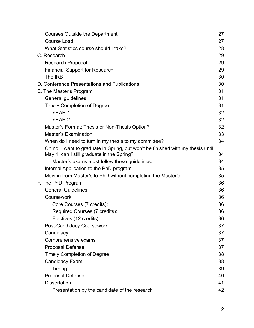| Courses Outside the Department                                                  | 27 |
|---------------------------------------------------------------------------------|----|
| <b>Course Load</b>                                                              | 27 |
| What Statistics course should I take?                                           | 28 |
| C. Research                                                                     | 29 |
| <b>Research Proposal</b>                                                        | 29 |
| <b>Financial Support for Research</b>                                           | 29 |
| The IRB                                                                         | 30 |
| D. Conference Presentations and Publications                                    | 30 |
| E. The Master's Program                                                         | 31 |
| General guidelines                                                              | 31 |
| <b>Timely Completion of Degree</b>                                              | 31 |
| <b>YEAR 1</b>                                                                   | 32 |
| <b>YEAR 2</b>                                                                   | 32 |
| Master's Format: Thesis or Non-Thesis Option?                                   | 32 |
| <b>Master's Examination</b>                                                     | 33 |
| When do I need to turn in my thesis to my committee?                            | 34 |
| Oh no! I want to graduate in Spring, but won't be finished with my thesis until |    |
| May 1, can I still graduate in the Spring?                                      | 34 |
| Master's exams must follow these guidelines:                                    | 34 |
| Internal Application to the PhD program                                         | 35 |
| Moving from Master's to PhD without completing the Master's                     | 35 |
| F. The PhD Program                                                              | 36 |
| <b>General Guidelines</b>                                                       | 36 |
| Coursework                                                                      | 36 |
| Core Courses (7 credits):                                                       | 36 |
| Required Courses (7 credits):                                                   | 36 |
| Electives (12 credits)                                                          | 36 |
| <b>Post-Candidacy Coursework</b>                                                | 37 |
| Candidacy                                                                       | 37 |
| Comprehensive exams                                                             | 37 |
| <b>Proposal Defense</b>                                                         | 37 |
| <b>Timely Completion of Degree</b>                                              | 38 |
| <b>Candidacy Exam</b>                                                           | 38 |
| Timing:                                                                         | 39 |
| <b>Proposal Defense</b>                                                         | 40 |
| <b>Dissertation</b>                                                             | 41 |
| Presentation by the candidate of the research                                   | 42 |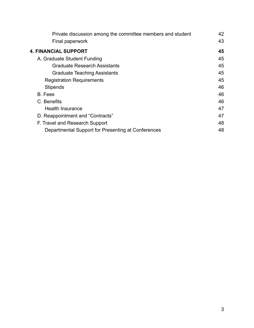| Private discussion among the committee members and student | 42 |
|------------------------------------------------------------|----|
| Final paperwork                                            | 43 |
| <b>4. FINANCIAL SUPPORT</b>                                | 45 |
| A. Graduate Student Funding                                | 45 |
| <b>Graduate Research Assistants</b>                        | 45 |
| <b>Graduate Teaching Assistants</b>                        | 45 |
| <b>Registration Requirements</b>                           | 45 |
| <b>Stipends</b>                                            | 46 |
| B. Fees                                                    | 46 |
| C. Benefits                                                | 46 |
| <b>Health Insurance</b>                                    | 47 |
| D. Reappointment and "Contracts"                           | 47 |
| F. Travel and Research Support                             | 48 |
| Departmental Support for Presenting at Conferences         | 48 |
|                                                            |    |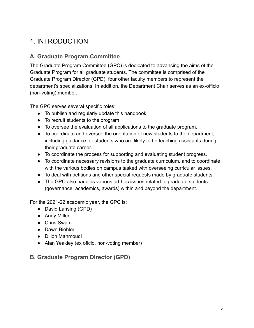# <span id="page-4-0"></span>1. INTRODUCTION

## <span id="page-4-1"></span>**A. Graduate Program Committee**

The Graduate Program Committee (GPC) is dedicated to advancing the aims of the Graduate Program for all graduate students. The committee is comprised of the Graduate Program Director (GPD), four other faculty members to represent the department's specializations. In addition, the Department Chair serves as an ex-officio (non-voting) member.

The GPC serves several specific roles:

- To publish and regularly update this handbook
- To recruit students to the program
- To oversee the evaluation of all applications to the graduate program.
- To coordinate and oversee the orientation of new students to the department, including guidance for students who are likely to be teaching assistants during their graduate career.
- To coordinate the process for supporting and evaluating student progress.
- To coordinate necessary revisions to the graduate curriculum, and to coordinate with the various bodies on campus tasked with overseeing curricular issues.
- To deal with petitions and other special requests made by graduate students.
- The GPC also handles various ad-hoc issues related to graduate students (governance, academics, awards) within and beyond the department.

For the 2021-22 academic year, the GPC is:

- David Lansing (GPD)
- Andy Miller
- Chris Swan
- Dawn Biehler
- Dillon Mahmoudi
- Alan Yeakley (ex oficio, non-voting member)

#### <span id="page-4-2"></span>**B. Graduate Program Director (GPD)**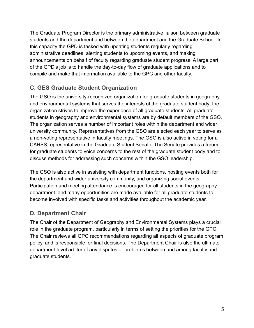The Graduate Program Director is the primary administrative liaison between graduate students and the department and between the department and the Graduate School. In this capacity the GPD is tasked with updating students regularly regarding administrative deadlines, alerting students to upcoming events, and making announcements on behalf of faculty regarding graduate student progress. A large part of the GPD's job is to handle the day-to-day flow of graduate applications and to compile and make that information available to the GPC and other faculty.

## <span id="page-5-0"></span>**C. GES Graduate Student Organization**

The GSO is the university-recognized organization for graduate students in geography and environmental systems that serves the interests of the graduate student body; the organization strives to improve the experience of all graduate students. All graduate students in geography and environmental systems are by default members of the GSO. The organization serves a number of important roles within the department and wider university community. Representatives from the GSO are elected each year to serve as a non-voting representative in faculty meetings. The GSO is also active in voting for a CAHSS representative in the Graduate Student Senate. The Senate provides a forum for graduate students to voice concerns to the rest of the graduate student body and to discuss methods for addressing such concerns within the GSO leadership.

The GSO is also active in assisting with department functions, hosting events both for the department and wider university community, and organizing social events. Participation and meeting attendance is encouraged for all students in the geography department, and many opportunities are made available for all graduate students to become involved with specific tasks and activities throughout the academic year.

## <span id="page-5-1"></span>**D. Department Chair**

The Chair of the Department of Geography and Environmental Systems plays a crucial role in the graduate program, particularly in terms of setting the priorities for the GPC. The Chair reviews all GPC recommendations regarding all aspects of graduate program policy, and is responsible for final decisions. The Department Chair is also the ultimate department-level arbiter of any disputes or problems between and among faculty and graduate students.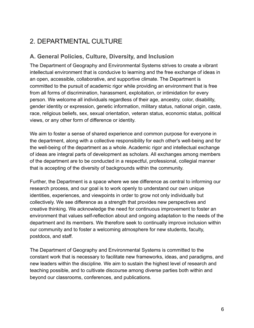# <span id="page-6-0"></span>2. DEPARTMENTAL CULTURE

## <span id="page-6-1"></span>**A. General Policies, Culture, Diversity, and Inclusion**

The Department of Geography and Environmental Systems strives to create a vibrant intellectual environment that is conducive to learning and the free exchange of ideas in an open, accessible, collaborative, and supportive climate. The Department is committed to the pursuit of academic rigor while providing an environment that is free from all forms of discrimination, harassment, exploitation, or intimidation for every person. We welcome all individuals regardless of their age, ancestry, color, disability, gender identity or expression, genetic information, military status, national origin, caste, race, religious beliefs, sex, sexual orientation, veteran status, economic status, political views, or any other form of difference or identity.

We aim to foster a sense of shared experience and common purpose for everyone in the department, along with a collective responsibility for each other's well-being and for the well-being of the department as a whole. Academic rigor and intellectual exchange of ideas are integral parts of development as scholars. All exchanges among members of the department are to be conducted in a respectful, professional, collegial manner that is accepting of the diversity of backgrounds within the community.

Further, the Department is a space where we see difference as central to informing our research process, and our goal is to work openly to understand our own unique identities, experiences, and viewpoints in order to grow not only individually but collectively. We see difference as a strength that provides new perspectives and creative thinking. We acknowledge the need for continuous improvement to foster an environment that values self-reflection about and ongoing adaptation to the needs of the department and its members. We therefore seek to continually improve inclusion within our community and to foster a welcoming atmosphere for new students, faculty, postdocs, and staff.

The Department of Geography and Environmental Systems is committed to the constant work that is necessary to facilitate new frameworks, ideas, and paradigms, and new leaders within the discipline. We aim to sustain the highest level of research and teaching possible, and to cultivate discourse among diverse parties both within and beyond our classrooms, conferences, and publications.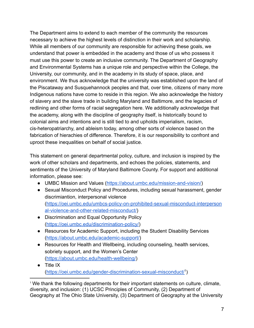The Department aims to extend to each member of the community the resources necessary to achieve the highest levels of distinction in their work and scholarship. While all members of our community are responsible for achieving these goals, we understand that power is embedded in the academy and those of us who possess it must use this power to create an inclusive community. The Department of Geography and Environmental Systems has a unique role and perspective within the College, the University, our community, and in the academy in its study of space, place, and environment. We thus acknowledge that the university was established upon the land of the Piscataway and Susquehannock peoples and that, over time, citizens of many more Indigenous nations have come to reside in this region. We also acknowledge the history of slavery and the slave trade in building Maryland and Baltimore, and the legacies of redlining and other forms of racial segregation here. We additionally acknowledge that the academy, along with the discipline of geography itself, is historically bound to colonial aims and intentions and is still tied to and upholds imperialism, racism, cis-heteropatriarchy, and ableism today, among other sorts of violence based on the fabrication of hierachies of difference. Therefore, it is our responsibility to confront and uproot these inequalities on behalf of social justice.

This statement on general departmental policy, culture, and inclusion is inspired by the work of other scholars and departments, and echoes the policies, statements, and sentiments of the University of Maryland Baltimore County. For support and additional information, please see:

- UMBC Mission and Values [\(https://about.umbc.edu/mission-and-vision/](https://about.umbc.edu/mission-and-vision/))
- Sexual Misconduct Policy and Procedures, including sexual harassment, gender discrimiantion, interpersonal violence ([https://oei.umbc.edu/umbcs-policy-on-prohibited-sexual-misconduct-interperson](https://oei.umbc.edu/umbcs-policy-on-prohibited-sexual-misconduct-interpersonal-violence-and-other-related-misconduct/) [al-violence-and-other-related-misconduct/](https://oei.umbc.edu/umbcs-policy-on-prohibited-sexual-misconduct-interpersonal-violence-and-other-related-misconduct/))
- Discrimination and Equal Opportunity Policy ([https://oei.umbc.edu/discrimination-policy/\)](https://oei.umbc.edu/discrimination-policy/)
- Resources for Academic Support, including the Student Disability Services (<https://about.umbc.edu/academic-support/>)
- Resources for Health and Wellbeing, including counseling, health services, sobriety support, and the Women's Center (<https://about.umbc.edu/health-wellbeing/>)
- Title IX (<https://oei.umbc.edu/gender-discrimination-sexual-misconduct/><sup>1</sup>)

<sup>1</sup> We thank the following departments for their important statements on culture, climate, diversity, and inclusion: (1) UCSC Principles of Community, (2) Department of Geography at The Ohio State University, (3) Department of Geography at the University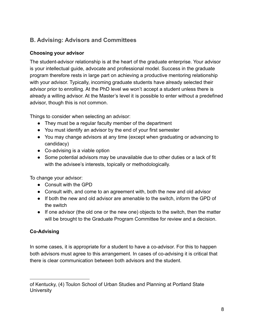## <span id="page-8-0"></span>**B. Advising: Advisors and Committees**

#### <span id="page-8-1"></span>**Choosing your advisor**

The student-advisor relationship is at the heart of the graduate enterprise. Your advisor is your intellectual guide, advocate and professional model. Success in the graduate program therefore rests in large part on achieving a productive mentoring relationship with your advisor. Typically, incoming graduate students have already selected their advisor prior to enrolling. At the PhD level we won't accept a student unless there is already a willing advisor. At the Master's level it is possible to enter without a predefined advisor, though this is not common.

Things to consider when selecting an advisor:

- They must be a regular faculty member of the department
- You must identify an advisor by the end of your first semester
- You may change advisors at any time (except when graduating or advancing to candidacy)
- Co-advising is a viable option
- Some potential advisors may be unavailable due to other duties or a lack of fit with the advisee's interests, topically or methodologically.

To change your advisor:

- Consult with the GPD
- Consult with, and come to an agreement with, both the new and old advisor
- If both the new and old advisor are amenable to the switch, inform the GPD of the switch
- If one advisor (the old one or the new one) objects to the switch, then the matter will be brought to the Graduate Program Committee for review and a decision.

## <span id="page-8-2"></span>**Co-Advising**

In some cases, it is appropriate for a student to have a co-advisor. For this to happen both advisors must agree to this arrangement. In cases of co-advising it is critical that there is clear communication between both advisors and the student.

of Kentucky, (4) Toulon School of Urban Studies and Planning at Portland State **University**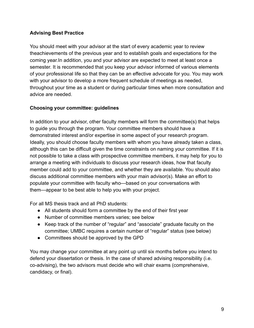#### **Advising Best Practice**

You should meet with your advisor at the start of every academic year to review theachievements of the previous year and to establish goals and expectations for the coming year.In addition, you and your advisor are expected to meet at least once a semester. It is recommended that you keep your advisor informed of various elements of your professional life so that they can be an effective advocate for you. You may work with your advisor to develop a more frequent schedule of meetings as needed, throughout your time as a student or during particular times when more consultation and advice are needed.

#### **Choosing your committee: guidelines**

In addition to your advisor, other faculty members will form the committee(s) that helps to guide you through the program. Your committee members should have a demonstrated interest and/or expertise in some aspect of your research program. Ideally, you should choose faculty members with whom you have already taken a class, although this can be difficult given the time constraints on naming your committee. If it is not possible to take a class with prospective committee members, it may help for you to arrange a meeting with individuals to discuss your research ideas, how that faculty member could add to your committee, and whether they are available. You should also discuss additional committee members with your main advisor(s). Make an effort to populate your committee with faculty who—based on your conversations with them—appear to be best able to help you with your project.

For all MS thesis track and all PhD students:

- All students should form a committee by the end of their first year
- Number of committee members varies; see below
- Keep track of the number of "regular" and "associate" graduate faculty on the committee; UMBC requires a certain number of "regular" status (see below)
- Committees should be approved by the GPD

You may change your committee at any point up until six months before you intend to defend your dissertation or thesis. In the case of shared advising responsibility (i.e. co-advising), the two advisors must decide who will chair exams (comprehensive, candidacy, or final).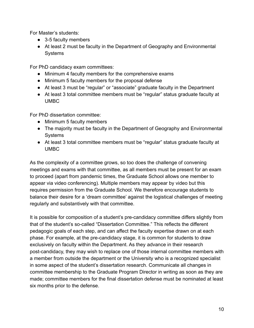For Master's students:

- 3-5 faculty members
- At least 2 must be faculty in the Department of Geography and Environmental **Systems**

For PhD candidacy exam committees:

- Minimum 4 faculty members for the comprehensive exams
- Minimum 5 faculty members for the proposal defense
- At least 3 must be "regular" or "associate" graduate faculty in the Department
- At least 3 total committee members must be "regular" status graduate faculty at UMBC

For PhD dissertation committee:

- Minimum 5 faculty members
- The majority must be faculty in the Department of Geography and Environmental **Systems**
- At least 3 total committee members must be "regular" status graduate faculty at UMBC

As the complexity of a committee grows, so too does the challenge of convening meetings and exams with that committee, as all members must be present for an exam to proceed (apart from pandemic times, the Graduate School allows one member to appear via video conferencing). Multiple members may appear by video but this requires permission from the Graduate School. We therefore encourage students to balance their desire for a 'dream committee' against the logistical challenges of meeting regularly and substantively with that committee.

It is possible for composition of a student's pre-candidacy committee differs slightly from that of the student's so-called "Dissertation Committee." This reflects the different pedagogic goals of each step, and can affect the faculty expertise drawn on at each phase. For example, at the pre-candidacy stage, it is common for students to draw exclusively on faculty within the Department. As they advance in their research post-candidacy, they may wish to replace one of those internal committee members with a member from outside the department or the University who is a recognized specialist in some aspect of the student's dissertation research. Communicate all changes in committee membership to the Graduate Program Director in writing as soon as they are made; committee members for the final dissertation defense must be nominated at least six months prior to the defense.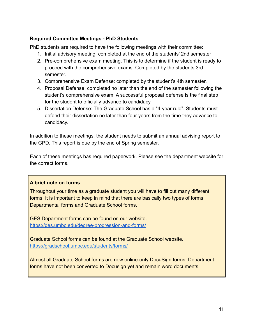#### <span id="page-11-0"></span>**Required Committee Meetings - PhD Students**

PhD students are required to have the following meetings with their committee:

- 1. Initial advisory meeting: completed at the end of the students' 2nd semester
- 2. Pre-comprehensive exam meeting. This is to determine if the student is ready to proceed with the comprehensive exams. Completed by the students 3rd semester.
- 3. Comprehensive Exam Defense: completed by the student's 4th semester.
- 4. Proposal Defense: completed no later than the end of the semester following the student's comprehensive exam. A successful proposal defense is the final step for the student to officially advance to candidacy.
- 5. Dissertation Defense: The Graduate School has a "4-year rule". Students must defend their dissertation no later than four years from the time they advance to candidacy.

In addition to these meetings, the student needs to submit an annual advising report to the GPD. This report is due by the end of Spring semester.

Each of these meetings has required paperwork. Please see the department website for the correct forms.

#### <span id="page-11-1"></span>**A brief note on forms**

Throughout your time as a graduate student you will have to fill out many different forms. It is important to keep in mind that there are basically two types of forms, Departmental forms and Graduate School forms.

GES Department forms can be found on our website. <https://ges.umbc.edu/degree-progression-and-forms/>

Graduate School forms can be found at the Graduate School website. <https://gradschool.umbc.edu/students/forms/>

Almost all Graduate School forms are now online-only DocuSign forms. Department forms have not been converted to Docusign yet and remain word documents.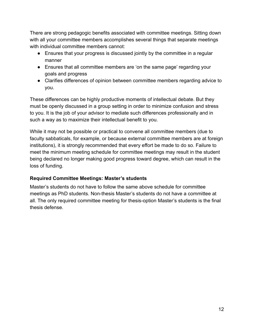There are strong pedagogic benefits associated with committee meetings. Sitting down with all your committee members accomplishes several things that separate meetings with individual committee members cannot:

- Ensures that your progress is discussed jointly by the committee in a regular manner
- Ensures that all committee members are 'on the same page' regarding your goals and progress
- Clarifies differences of opinion between committee members regarding advice to you.

These differences can be highly productive moments of intellectual debate. But they must be openly discussed in a group setting in order to minimize confusion and stress to you. It is the job of your advisor to mediate such differences professionally and in such a way as to maximize their intellectual benefit to you.

While it may not be possible or practical to convene all committee members (due to faculty sabbaticals, for example, or because external committee members are at foreign institutions), it is strongly recommended that every effort be made to do so. Failure to meet the minimum meeting schedule for committee meetings may result in the student being declared no longer making good progress toward degree, which can result in the loss of funding.

#### <span id="page-12-0"></span>**Required Committee Meetings: Master's students**

Master's students do not have to follow the same above schedule for committee meetings as PhD students. Non-thesis Master's students do not have a committee at all. The only required committee meeting for thesis-option Master's students is the final thesis defense.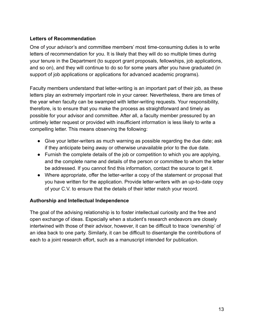#### <span id="page-13-0"></span>**Letters of Recommendation**

One of your advisor's and committee members' most time-consuming duties is to write letters of recommendation for you. It is likely that they will do so multiple times during your tenure in the Department (to support grant proposals, fellowships, job applications, and so on), and they will continue to do so for some years after you have graduated (in support of job applications or applications for advanced academic programs).

Faculty members understand that letter-writing is an important part of their job, as these letters play an extremely important role in your career. Nevertheless, there are times of the year when faculty can be swamped with letter-writing requests. Your responsibility, therefore, is to ensure that you make the process as straightforward and timely as possible for your advisor and committee. After all, a faculty member pressured by an untimely letter request or provided with insufficient information is less likely to write a compelling letter. This means observing the following:

- Give your letter-writers as much warning as possible regarding the due date; ask if they anticipate being away or otherwise unavailable prior to the due date.
- Furnish the complete details of the job or competition to which you are applying, and the complete name and details of the person or committee to whom the letter be addressed. If you cannot find this information, contact the source to get it.
- Where appropriate, offer the letter-writer a copy of the statement or proposal that you have written for the application. Provide letter-writers with an up-to-date copy of your C.V. to ensure that the details of their letter match your record.

#### <span id="page-13-1"></span>**Authorship and Intellectual Independence**

The goal of the advising relationship is to foster intellectual curiosity and the free and open exchange of ideas. Especially when a student's research endeavors are closely intertwined with those of their advisor, however, it can be difficult to trace 'ownership' of an idea back to one party. Similarly, it can be difficult to disentangle the contributions of each to a joint research effort, such as a manuscript intended for publication.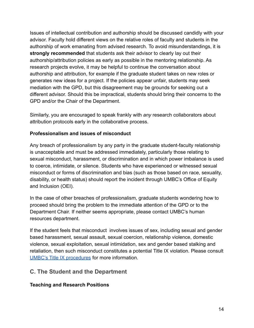Issues of intellectual contribution and authorship should be discussed candidly with your advisor. Faculty hold different views on the relative roles of faculty and students in the authorship of work emanating from advised research. To avoid misunderstandings, it is **strongly recommended** that students ask their advisor to clearly lay out their authorship/attribution policies as early as possible in the mentoring relationship. As research projects evolve, it may be helpful to continue the conversation about authorship and attribution, for example if the graduate student takes on new roles or generates new ideas for a project. If the policies appear unfair, students may seek mediation with the GPD, but this disagreement may be grounds for seeking out a different advisor. Should this be impractical, students should bring their concerns to the GPD and/or the Chair of the Department.

Similarly, you are encouraged to speak frankly with *any* research collaborators about attribution protocols early in the collaborative process.

#### <span id="page-14-0"></span>**Professionalism and issues of misconduct**

Any breach of professionalism by any party in the graduate student-faculty relationship is unacceptable and must be addressed immediately, particularly those relating to sexual misconduct, harassment, or discrimination and in which power imbalance is used to coerce, intimidate, or silence. Students who have experienced or witnessed sexual misconduct or forms of discrimination and bias (such as those based on race, sexuality, disability, or health status) should report the incident through UMBC's Office of Equity and Inclusion (OEI).

In the case of other breaches of professionalism, graduate students wondering how to proceed should bring the problem to the immediate attention of the GPD or to the Department Chair. If neither seems appropriate, please contact UMBC's human resources department.

If the student feels that misconduct involves issues of sex, including sexual and gender based harassment, sexual assault, sexual coercion, relationship violence, domestic violence, sexual exploitation, sexual intimidation, sex and gender based stalking and retaliation, then such misconduct constitutes a potential Title IX violation. Please consult [UMBC's Title IX procedures](https://oei.umbc.edu/gender-discrimination-sexual-misconduct/) for more information.

## <span id="page-14-1"></span>**C. The Student and the Department**

#### <span id="page-14-2"></span>**Teaching and Research Positions**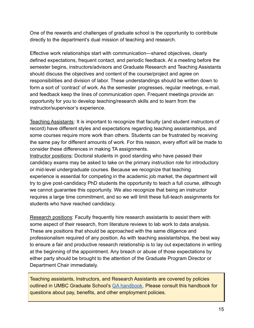One of the rewards and challenges of graduate school is the opportunity to contribute directly to the department's dual mission of teaching and research.

Effective work relationships start with communication—shared objectives, clearly defined expectations, frequent contact, and periodic feedback. At a meeting before the semester begins, instructors/advisors and Graduate Research and Teaching Assistants should discuss the objectives and content of the course/project and agree on responsibilities and division of labor. These understandings should be written down to form a sort of 'contract' of work. As the semester progresses, regular meetings, e-mail, and feedback keep the lines of communication open. Frequent meetings provide an opportunity for you to develop teaching/research skills and to learn from the instructor/supervisor's experience.

Teaching Assistants: It is important to recognize that faculty (and student instructors of record) have different styles and expectations regarding teaching assistantships, and some courses require more work than others. Students can be frustrated by receiving the same pay for different amounts of work. For this reason, every effort will be made to consider these differences in making TA assignments.

Instructor positions: Doctoral students in good standing who have passed their candidacy exams may be asked to take on the primary instruction role for introductory or mid-level undergraduate courses. Because we recognize that teaching experience is essential for competing in the academic job market, the department will try to give post-candidacy PhD students the opportunity to teach a full course, although we cannot guarantee this opportunity. We also recognize that being an instructor requires a large time commitment, and so we will limit these full-teach assignments for students who have reached candidacy.

Research positions: Faculty frequently hire research assistants to assist them with some aspect of their research, from literature reviews to lab work to data analysis. These are positions that should be approached with the same diligence and professionalism required of any position. As with teaching assistantships, the best way to ensure a fair and productive research relationship is to lay out expectations in writing at the beginning of the appointment. Any breach or abuse of those expectations by either party should be brought to the attention of the Graduate Program Director or Department Chair immediately.

Teaching assistants, Instructors, and Research Assistants are covered by policies outlined in UMBC Graduate School's [GA handbook.](https://gradschool.umbc.edu/files/2020/05/GA-Handbook-Spring-2020.pdf) Please consult this handbook for questions about pay, benefits, and other employment policies.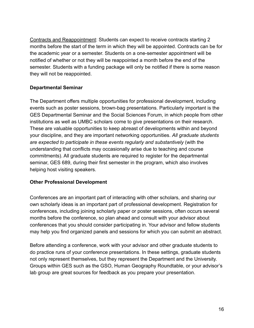Contracts and Reappointment: Students can expect to receive contracts starting 2 months before the start of the term in which they will be appointed. Contracts can be for the academic year or a semester. Students on a one-semester appointment will be notified of whether or not they will be reappointed a month before the end of the semester. Students with a funding package will only be notified if there is some reason they will not be reappointed.

#### **Departmental Seminar**

The Department offers multiple opportunities for professional development, including events such as poster sessions, brown-bag presentations. Particularly important is the GES Departmental Seminar and the Social Sciences Forum, in which people from other institutions as well as UMBC scholars come to give presentations on their research. These are valuable opportunities to keep abreast of developments within and beyond your discipline, and they are important networking opportunities. *All graduate students are expected to participate in these events regularly and substantively* (with the understanding that conflicts may occasionally arise due to teaching and course commitments). All graduate students are required to register for the departmental seminar, GES 689, during their first semester in the program, which also involves helping host visiting speakers.

#### <span id="page-16-0"></span>**Other Professional Development**

Conferences are an important part of interacting with other scholars, and sharing our own scholarly ideas is an important part of professional development. Registration for conferences, including joining scholarly paper or poster sessions, often occurs several months before the conference, so plan ahead and consult with your advisor about conferences that you should consider participating in. Your advisor and fellow students may help you find organized panels and sessions for which you can submit an abstract.

Before attending a conference, work with your advisor and other graduate students to do practice runs of your conference presentations. In these settings, graduate students not only represent themselves, but they represent the Department and the University. Groups within GES such as the GSO, Human Geography Roundtable, or your advisor's lab group are great sources for feedback as you prepare your presentation.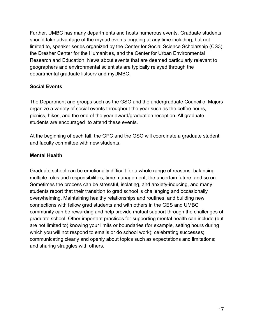Further, UMBC has many departments and hosts numerous events. Graduate students should take advantage of the myriad events ongoing at any time including, but not limited to, speaker series organized by the Center for Social Science Scholarship (CS3), the Dresher Center for the Humanities, and the Center for Urban Environmental Research and Education. News about events that are deemed particularly relevant to geographers and environmental scientists are typically relayed through the departmental graduate listserv and myUMBC.

#### <span id="page-17-0"></span>**Social Events**

The Department and groups such as the GSO and the undergraduate Council of Majors organize a variety of social events throughout the year such as the coffee hours, picnics, hikes, and the end of the year award/graduation reception. All graduate students are encouraged to attend these events.

At the beginning of each fall, the GPC and the GSO will coordinate a graduate student and faculty committee with new students.

#### <span id="page-17-1"></span>**Mental Health**

Graduate school can be emotionally difficult for a whole range of reasons: balancing multiple roles and responsibilities, time management, the uncertain future, and so on. Sometimes the process can be stressful, isolating, and anxiety-inducing, and many students report that their transition to grad school is challenging and occasionally overwhelming. Maintaining healthy relationships and routines, and building new connections with fellow grad students and with others in the GES and UMBC community can be rewarding and help provide mutual support through the challenges of graduate school. Other important practices for supporting mental health can include (but are not limited to) knowing your limits or boundaries (for example, setting hours during which you will not respond to emails or do school work); celebrating successes; communicating clearly and openly about topics such as expectations and limitations; and sharing struggles with others.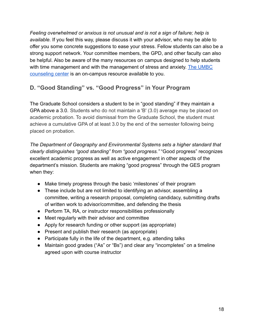*Feeling overwhelmed or anxious is not unusual and is not a sign of failure; help is available.* If you feel this way, please discuss it with your advisor, who may be able to offer you some concrete suggestions to ease your stress. Fellow students can also be a strong support network. Your committee members, the GPD, and other faculty can also be helpful. Also be aware of the many resources on campus designed to help students with time management and with the management of stress and anxiety. [The UMBC](https://counseling.umbc.edu/) [counseling center](https://counseling.umbc.edu/) is an on-campus resource available to you.

## <span id="page-18-0"></span>**D. "Good Standing" vs. "Good Progress" in Your Program**

The Graduate School considers a student to be in "good standing" if they maintain a GPA above a 3.0. Students who do not maintain a 'B' (3.0) average may be placed on academic probation. To avoid dismissal from the Graduate School, the student must achieve a cumulative GPA of at least 3.0 by the end of the semester following being placed on probation.

*The Department of Geography and Environmental Systems sets a higher standard that clearly distinguishes "good standing" from "good progress."* "Good progress" recognizes excellent academic progress as well as active engagement in other aspects of the department's mission. Students are making "good progress" through the GES program when they:

- Make timely progress through the basic 'milestones' of their program
- These include but are not limited to identifying an advisor, assembling a committee, writing a research proposal, completing candidacy, submitting drafts of written work to advisor/committee, and defending the thesis
- Perform TA, RA, or instructor responsibilities professionally
- Meet regularly with their advisor and committee
- Apply for research funding or other support (as appropriate)
- Present and publish their research (as appropriate)
- Participate fully in the life of the department, e.g. attending talks
- Maintain good grades ("As" or "Bs") and clear any "incompletes" on a timeline agreed upon with course instructor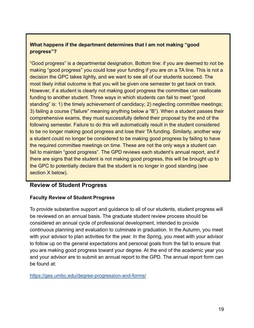#### <span id="page-19-0"></span>**What happens if the department determines that I am not making "good progress"?**

"Good progress" is a departmental designation. Bottom line: if you are deemed to not be making "good progress" you could lose your funding if you are on a TA line. This is not a decision the GPC takes lightly, and we want to see all of our students succeed. The most likely initial outcome is that you will be given one semester to get back on track. However, if a student is clearly not making good progress the committee can reallocate funding to another student. Three ways in which students can fail to meet "good standing" is: 1) the timely achievement of candidacy; 2) neglecting committee meetings; 3) failing a course ("failure" meaning anything below a "B"). When a student passes their comprehensive exams, they must successfully defend their proposal by the end of the following semester. Failure to do this will automatically result in the student considered to be no longer making good progress and lose their TA funding. Similarly, another way a student could no longer be considered to be making good progress by failing to have the required committee meetings on time. These are not the only ways a student can fail to maintain "good progress". The GPD reviews each student's annual report, and if there are signs that the student is not making good progress, this will be brought up to the GPC to potentially declare that the student is no longer in good standing (see section X below).

#### **Review of Student Progress**

#### **Faculty Review of Student Progress**

To provide substantive support and guidance to all of our students, student progress will be reviewed on an annual basis. The graduate student review process should be considered an annual cycle of professional development, intended to provide continuous planning and evaluation to culminate in graduation. In the Autumn, you meet with your advisor to plan activities for the year. In the Spring, you meet with your advisor to follow up on the general expectations and personal goals from the fall to ensure that you are making good progress toward your degree. At the end of the academic year you and your advisor are to submit an annual report to the GPD. The annual report form can be found at:

<https://ges.umbc.edu/degree-progression-and-forms/>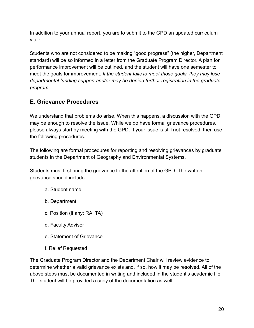In addition to your annual report, you are to submit to the GPD an updated curriculum vitae.

Students who are not considered to be making "good progress" (the higher, Department standard) will be so informed in a letter from the Graduate Program Director. A plan for performance improvement will be outlined, and the student will have one semester to meet the goals for improvement. *If the student fails to meet those goals, they may lose departmental funding support and/or may be denied further registration in the graduate program.*

## **E. Grievance Procedures**

We understand that problems do arise. When this happens, a discussion with the GPD may be enough to resolve the issue. While we do have formal grievance procedures, please always start by meeting with the GPD. If your issue is still not resolved, then use the following procedures.

The following are formal procedures for reporting and resolving grievances by graduate students in the Department of Geography and Environmental Systems.

Students must first bring the grievance to the attention of the GPD. The written grievance should include:

- a. Student name
- b. Department
- c. Position (if any; RA, TA)
- d. Faculty Advisor
- e. Statement of Grievance
- f. Relief Requested

The Graduate Program Director and the Department Chair will review evidence to determine whether a valid grievance exists and, if so, how it may be resolved. All of the above steps must be documented in writing and included in the student's academic file. The student will be provided a copy of the documentation as well.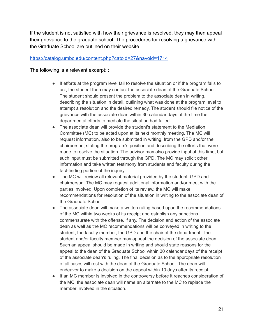If the student is not satisfied with how their grievance is resolved, they may then appeal their grievance to the graduate school. The procedures for resolving a grievance with the Graduate School are outlined on their website

#### <https://catalog.umbc.edu/content.php?catoid=27&navoid=1714>

The following is a relevant excerpt: :

- If efforts at the program level fail to resolve the situation or if the program fails to act, the student then may contact the associate dean of the Graduate School. The student should present the problem to the associate dean in writing, describing the situation in detail, outlining what was done at the program level to attempt a resolution and the desired remedy. The student should file notice of the grievance with the associate dean within 30 calendar days of the time the departmental efforts to mediate the situation had failed.
- The associate dean will provide the student's statement to the Mediation Committee (MC) to be acted upon at its next monthly meeting. The MC will request information, also to be submitted in writing, from the GPD and/or the chairperson, stating the program's position and describing the efforts that were made to resolve the situation. The advisor may also provide input at this time, but such input must be submitted through the GPD. The MC may solicit other information and take written testimony from students and faculty during the fact-finding portion of the inquiry.
- The MC will review all relevant material provided by the student, GPD and chairperson. The MC may request additional information and/or meet with the parties involved. Upon completion of its review, the MC will make recommendations for resolution of the situation in writing to the associate dean of the Graduate School.
- The associate dean will make a written ruling based upon the recommendations of the MC within two weeks of its receipt and establish any sanctions commensurate with the offense, if any. The decision and action of the associate dean as well as the MC recommendations will be conveyed in writing to the student, the faculty member, the GPD and the chair of the department. The student and/or faculty member may appeal the decision of the associate dean. Such an appeal should be made in writing and should state reasons for the appeal to the dean of the Graduate School within 30 calendar days of the receipt of the associate dean's ruling. The final decision as to the appropriate resolution of all cases will rest with the dean of the Graduate School. The dean will endeavor to make a decision on the appeal within 10 days after its receipt.
- If an MC member is involved in the controversy before it reaches consideration of the MC, the associate dean will name an alternate to the MC to replace the member involved in the situation.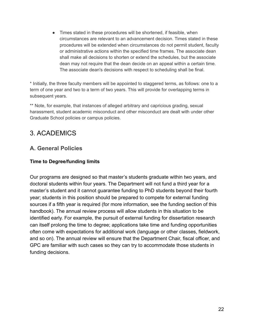● Times stated in these procedures will be shortened, if feasible, when circumstances are relevant to an advancement decision. Times stated in these procedures will be extended when circumstances do not permit student, faculty or administrative actions within the specified time frames. The associate dean shall make all decisions to shorten or extend the schedules, but the associate dean may not require that the dean decide on an appeal within a certain time. The associate dean's decisions with respect to scheduling shall be final.

\* Initially, the three faculty members will be appointed to staggered terms, as follows: one to a term of one year and two to a term of two years. This will provide for overlapping terms in subsequent years.

\*\* Note, for example, that instances of alleged arbitrary and capricious grading, sexual harassment, student academic misconduct and other misconduct are dealt with under other Graduate School policies or campus policies.

## <span id="page-22-0"></span>3. ACADEMICS

## <span id="page-22-1"></span>**A. General Policies**

#### <span id="page-22-2"></span>**Time to Degree/funding limits**

Our programs are designed so that master's students graduate within two years, and doctoral students within four years. The Department will not fund a third year for a master's student and it cannot guarantee funding to PhD students beyond their fourth year; students in this position should be prepared to compete for external funding sources if a fifth year is required (for more information, see the funding section of this handbook). The annual review process will allow students in this situation to be identified early. For example, the pursuit of external funding for dissertation research can itself prolong the time to degree; applications take time and funding opportunities often come with expectations for additional work (language or other classes, fieldwork, and so on). The annual review will ensure that the Department Chair, fiscal officer, and GPC are familiar with such cases so they can try to accommodate those students in funding decisions.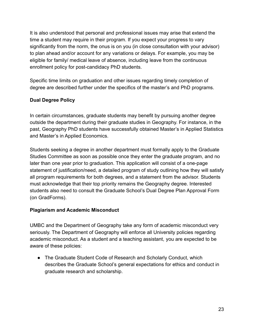It is also understood that personal and professional issues may arise that extend the time a student may require in their program. If you expect your progress to vary significantly from the norm, the onus is on you (in close consultation with your advisor) to plan ahead and/or account for any variations or delays. For example, you may be eligible for family/ medical leave of absence, including leave from the continuous enrollment policy for post-candidacy PhD students.

Specific time limits on graduation and other issues regarding timely completion of degree are described further under the specifics of the master's and PhD programs.

#### <span id="page-23-0"></span>**Dual Degree Policy**

In certain circumstances, graduate students may benefit by pursuing another degree outside the department during their graduate studies in Geography. For instance, in the past, Geography PhD students have successfully obtained Master's in Applied Statistics and Master's in Applied Economics.

Students seeking a degree in another department must formally apply to the Graduate Studies Committee as soon as possible once they enter the graduate program, and no later than one year prior to graduation. This application will consist of a one-page statement of justification/need, a detailed program of study outlining how they will satisfy all program requirements for both degrees, and a statement from the advisor. Students must acknowledge that their top priority remains the Geography degree. Interested students also need to consult the Graduate School's Dual Degree Plan Approval Form (on GradForms).

#### <span id="page-23-1"></span>**Plagiarism and Academic Misconduct**

UMBC and the Department of Geography take any form of academic misconduct very seriously. The Department of Geography will enforce all University policies regarding academic misconduct. As a student and a teaching assistant, you are expected to be aware of these policies:

• The Graduate Student Code of Research and Scholarly Conduct, which describes the Graduate School's general expectations for ethics and conduct in graduate research and scholarship.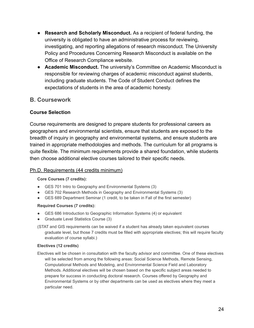- **Research and Scholarly Misconduct.** As a recipient of federal funding, the university is obligated to have an administrative process for reviewing, investigating, and reporting allegations of research misconduct. The University Policy and Procedures Concerning Research Misconduct is available on the Office of Research Compliance website.
- **Academic Misconduct.** The university's Committee on Academic Misconduct is responsible for reviewing charges of academic misconduct against students, including graduate students. The Code of Student Conduct defines the expectations of students in the area of academic honesty.

#### <span id="page-24-0"></span>**B. Coursework**

#### <span id="page-24-1"></span>**Course Selection**

Course requirements are designed to prepare students for professional careers as geographers and environmental scientists, ensure that students are exposed to the breadth of inquiry in geography and environmental systems, and ensure students are trained in appropriate methodologies and methods. The curriculum for all programs is quite flexible. The minimum requirements provide a shared foundation, while students then choose additional elective courses tailored to their specific needs.

#### <span id="page-24-2"></span>Ph.D. Requirements (44 credits minimum)

#### **Core Courses (7 credits):**

- GES 701 Intro to Geography and Environmental Systems (3)
- GES 702 Research Methods in Geography and Environmental Systems (3)
- GES 689 Department Seminar (1 credit, to be taken in Fall of the first semester)

#### **Required Courses (7 credits):**

- GES 686 Introduction to Geographic Information Systems (4) or equivalent
- Graduate Level Statistics Course (3)
- (STAT and GIS requirements can be waived if a student has already taken equivalent courses graduate level, but those 7 credits must be filled with appropriate electives; this will require faculty evaluation of course syllabi.)

#### **Electives (12 credits)**

Electives will be chosen in consultation with the faculty advisor and committee. One of these electives will be selected from among the following areas: Social Science Methods, Remote Sensing, Computational Methods and Modeling, and Environmental Science Field and Laboratory Methods. Additional electives will be chosen based on the specific subject areas needed to prepare for success in conducting doctoral research. Courses offered by Geography and Environmental Systems or by other departments can be used as electives where they meet a particular need.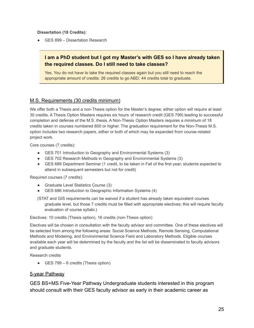**Dissertation (18 Credits):**

● GES 899 – Dissertation Research

#### <span id="page-25-0"></span>**I am a PhD student but I got my Master's with GES so I have already taken the required classes. Do I still need to take classes?**

Yes. You do not have to take the required classes again but you still need to reach the appropriate amount of credits: 26 credits to go ABD; 44 credits total to graduate.

#### <span id="page-25-1"></span>M.S. Requirements (30 credits minimum)

We offer both a Thesis and a non-Thesis option for the Master's degree; either option will require at least 30 credits. A Thesis Option Masters requires six hours of research credit (GES 799) leading to successful completion and defense of the M.S. thesis. A Non-Thesis Option Masters requires a minimum of 18 credits taken in courses numbered 600 or higher. The graduation requirement for the Non-Thesis M.S. option includes two research papers, either or both of which may be expanded from course-related project work.

Core courses (7 credits):

- GES 701 Introduction to Geography and Environmental Systems (3)
- GES 702 Research Methods in Geography and Environmental Systems (3)
- GES 689 Department Seminar (1 credit, to be taken in Fall of the first year; students expected to attend in subsequent semesters but not for credit)

Required courses (7 credits):

- Graduate Level Statistics Course (3)
- GES 686 Introduction to Geographic Information Systems (4)
- (STAT and GIS requirements can be waived if a student has already taken equivalent courses graduate level, but those 7 credits must be filled with appropriate electives; this will require faculty evaluation of course syllabi.)

Electives: 10 credits (Thesis option), 16 credits (non-Thesis option)

Electives will be chosen in consultation with the faculty advisor and committee. One of these electives will be selected from among the following areas: Social Science Methods, Remote Sensing, Computational Methods and Modeling, and Environmental Science Field and Laboratory Methods. Eligible courses available each year will be determined by the faculty and the list will be disseminated to faculty advisors and graduate students.

Research credits

 $\bullet$  GES 799 – 6 credits (Thesis option)

#### <span id="page-25-2"></span>5-year Pathway

GES BS+MS Five-Year Pathway Undergraduate students interested in this program should consult with their GES faculty advisor as early in their academic career as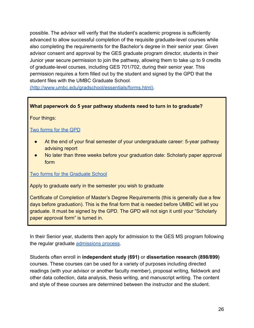possible. The advisor will verify that the student's academic progress is sufficiently advanced to allow successful completion of the requisite graduate-level courses while also completing the requirements for the Bachelor's degree in their senior year. Given advisor consent and approval by the GES graduate program director, students in their Junior year secure permission to join the pathway, allowing them to take up to 9 credits of graduate-level courses, including GES 701/702, during their senior year. This permission requires a form filled out by the student and signed by the GPD that the student files with the UMBC Graduate School.

[\(http://www.umbc.edu/gradschool/essentials/forms.html\)](http://www.umbc.edu/gradschool/essentials/forms.html).

#### **What paperwork do 5 year pathway students need to turn in to graduate?**

Four things:

#### [Two forms for the GPD](https://ges.umbc.edu/degree-progression-and-forms/)

- At the end of your final semester of your undergraduate career: 5-year pathway advising report
- No later than three weeks before your graduation date: Scholarly paper approval form

#### [Two forms for the Graduate School](https://gradschool.umbc.edu/graduation/reqs/masters/)

Apply to graduate early in the semester you wish to graduate

Certificate of Completion of Master's Degree Requirements (this is generally due a few days before graduation). This is the final form that is needed before UMBC will let you graduate. It must be signed by the GPD. The GPD will not sign it until your "Scholarly paper approval form" is turned in.

In their Senior year, students then apply for admission to the GES MS program following the regular graduate [admissions process.](http://www.umbc.edu/gradschool/)

Students often enroll in **independent study (691)** or **dissertation research (898/899)** courses. These courses can be used for a variety of purposes including directed readings (with your advisor or another faculty member), proposal writing, fieldwork and other data collection, data analysis, thesis writing, and manuscript writing. The content and style of these courses are determined between the instructor and the student.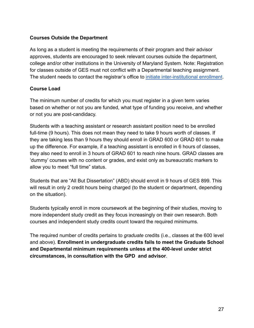#### <span id="page-27-0"></span>**Courses Outside the Department**

As long as a student is meeting the requirements of their program and their advisor approves, students are encouraged to seek relevant courses outside the department, college and/or other institutions in the University of Maryland System. Note: Registration for classes outside of GES must not conflict with a Departmental teaching assignment. The student needs to contact the registrar's office to *[initiate inter-institutional enrollment](https://gradschool.umbc.edu/admissions/nontraditional/iie/)*.

#### <span id="page-27-1"></span>**Course Load**

The minimum number of credits for which you must register in a given term varies based on whether or not you are funded, what type of funding you receive, and whether or not you are post-candidacy.

Students with a teaching assistant or research assistant position need to be enrolled full-time (9 hours). This does not mean they need to take 9 hours worth of classes. If they are taking less than 9 hours they should enroll in GRAD 600 or GRAD 601 to make up the difference. For example, if a teaching assistant is enrolled in 6 hours of classes, they also need to enroll in 3 hours of GRAD 601 to reach nine hours. GRAD classes are 'dummy' courses with no content or grades, and exist only as bureaucratic markers to allow you to meet "full time" status.

Students that are "All But Dissertation" (ABD) should enroll in 9 hours of GES 899. This will result in only 2 credit hours being charged (to the student or department, depending on the situation).

Students typically enroll in more coursework at the beginning of their studies, moving to more independent study credit as they focus increasingly on their own research. Both courses and independent study credits count toward the required minimums.

The required number of credits pertains to *graduate* credits (i.e., classes at the 600 level and above). **Enrollment in undergraduate credits fails to meet the Graduate School and Departmental minimum requirements unless at the 400-level under strict circumstances, in consultation with the GPD and advisor**.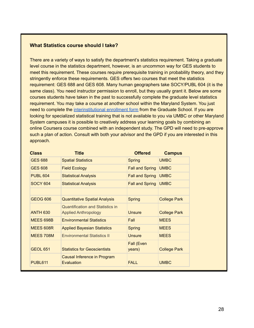#### <span id="page-28-0"></span>**What Statistics course should I take?**

There are a variety of ways to satisfy the department's statistics requirement. Taking a graduate level course in the statistics department, however, is an uncommon way for GES students to meet this requirement. These courses require prerequisite training in probability theory, and they stringently enforce these requirements. GES offers two courses that meet the statistics requirement: GES 688 and GES 608. Many human geographers take SOCY/PUBL 604 (it is the same class). You need instructor permission to enroll, but they usually grant it. Below are some courses students have taken in the past to successfully complete the graduate level statistics requirement. You may take a course at another school within the Maryland System. You just need to complete the [interinstitutional](https://gradschool.umbc.edu/admissions/nontraditional/iie/) enrollment form from the Graduate School. If you are looking for specialized statistical training that is not available to you via UMBC or other Maryland System campuses it is possible to creatively address your learning goals by combining an online Coursera course combined with an independent study. The GPD will need to pre-approve such a plan of action. Consult with both your advisor and the GPD if you are interested in this approach.

| <b>Class</b>     | <b>Title</b>                              | <b>Offered</b>         | <b>Campus</b>       |
|------------------|-------------------------------------------|------------------------|---------------------|
| <b>GES 688</b>   | <b>Spatial Statistics</b>                 | <b>Spring</b>          | <b>UMBC</b>         |
| <b>GES 608</b>   | <b>Field Ecology</b>                      | <b>Fall and Spring</b> | <b>UMBC</b>         |
| <b>PUBL 604</b>  | <b>Statistical Analysis</b>               | <b>Fall and Spring</b> | <b>UMBC</b>         |
| <b>SOCY 604</b>  | <b>Statistical Analysis</b>               | <b>Fall and Spring</b> | <b>UMBC</b>         |
|                  |                                           |                        |                     |
| <b>GEOG 606</b>  | <b>Quantitative Spatial Analysis</b>      | <b>Spring</b>          | <b>College Park</b> |
|                  | <b>Quantification and Statistics in</b>   |                        |                     |
| <b>ANTH 630</b>  | <b>Applied Anthropology</b>               | <b>Unsure</b>          | <b>College Park</b> |
| <b>MEES 698B</b> | <b>Environmental Statistics</b>           | Fall                   | <b>MEES</b>         |
| MEES 608R        | <b>Applied Bayesian Statistics</b>        | <b>Spring</b>          | <b>MEES</b>         |
| <b>MEES 708M</b> | <b>Environmental Statistics II</b>        | <b>Unsure</b>          | <b>MEES</b>         |
| <b>GEOL 651</b>  | <b>Statistics for Geoscientists</b>       | Fall (Even<br>years)   | <b>College Park</b> |
| <b>PUBL611</b>   | Causal Inference in Program<br>Evaluation | <b>FALL</b>            | <b>UMBC</b>         |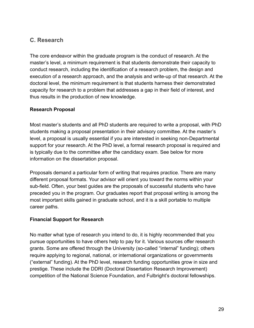## <span id="page-29-0"></span>**C. Research**

The core endeavor within the graduate program is the conduct of research. At the master's level, a minimum requirement is that students demonstrate their capacity to conduct research, including the identification of a research problem, the design and execution of a research approach, and the analysis and write-up of that research. At the doctoral level, the minimum requirement is that students harness their demonstrated capacity for research to a problem that addresses a gap in their field of interest, and thus results in the production of new knowledge.

#### <span id="page-29-1"></span>**Research Proposal**

Most master's students and all PhD students are required to write a proposal, with PhD students making a proposal presentation in their advisory committee. At the master's level, a proposal is usually essential if you are interested in seeking non-Departmental support for your research. At the PhD level, a formal research proposal is required and is typically due to the committee after the candidacy exam. See below for more information on the dissertation proposal.

Proposals demand a particular form of writing that requires practice. There are many different proposal formats. Your advisor will orient you toward the norms within your sub-field. Often, your best guides are the proposals of successful students who have preceded you in the program. Our graduates report that proposal writing is among the most important skills gained in graduate school, and it is a skill portable to multiple career paths.

#### <span id="page-29-2"></span>**Financial Support for Research**

No matter what type of research you intend to do, it is highly recommended that you pursue opportunities to have others help to pay for it. Various sources offer research grants. Some are offered through the University (so-called "internal" funding); others require applying to regional, national, or international organizations or governments ("external" funding). At the PhD level, research funding opportunities grow in size and prestige. These include the DDRI (Doctoral Dissertation Research Improvement) competition of the National Science Foundation, and Fulbright's doctoral fellowships.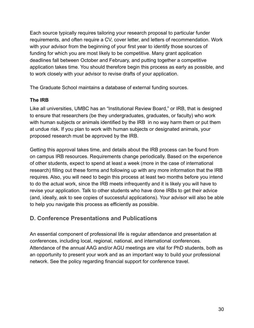Each source typically requires tailoring your research proposal to particular funder requirements, and often require a CV, cover letter, and letters of recommendation. Work with your advisor from the beginning of your first year to identify those sources of funding for which you are most likely to be competitive. Many grant application deadlines fall between October and February, and putting together a competitive application takes time. You should therefore begin this process as early as possible, and to work closely with your advisor to revise drafts of your application.

The Graduate School maintains a database of external funding sources.

#### <span id="page-30-0"></span>**The IRB**

Like all universities, UMBC has an "Institutional Review Board," or IRB, that is designed to ensure that researchers (be they undergraduates, graduates, or faculty) who work with human subjects or animals identified by the IRB in no way harm them or put them at undue risk. If you plan to work with human subjects or designated animals, your proposed research must be approved by the IRB.

Getting this approval takes time, and details about the IRB process can be found from on campus IRB resources. Requirements change periodically. Based on the experience of other students, expect to spend at least a week (more in the case of international research) filling out these forms and following up with any more information that the IRB requires. Also, you will need to begin this process at least two months before you intend to do the actual work, since the IRB meets infrequently and it is likely you will have to revise your application. Talk to other students who have done IRBs to get their advice (and, ideally, ask to see copies of successful applications). Your advisor will also be able to help you navigate this process as efficiently as possible.

## <span id="page-30-1"></span>**D. Conference Presentations and Publications**

An essential component of professional life is regular attendance and presentation at conferences, including local, regional, national, and international conferences. Attendance of the annual AAG and/or AGU meetings are vital for PhD students, both as an opportunity to present your work and as an important way to build your professional network. See the policy regarding financial support for conference travel.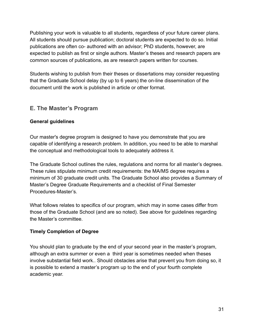Publishing your work is valuable to all students, regardless of your future career plans. All students should pursue publication; doctoral students are expected to do so. Initial publications are often co- authored with an advisor; PhD students, however, are expected to publish as first or single authors. Master's theses and research papers are common sources of publications, as are research papers written for courses.

Students wishing to publish from their theses or dissertations may consider requesting that the Graduate School delay (by up to 6 years) the on-line dissemination of the document until the work is published in article or other format.

#### <span id="page-31-0"></span>**E. The Master's Program**

#### <span id="page-31-1"></span>**General guidelines**

Our master's degree program is designed to have you demonstrate that you are capable of identifying a research problem. In addition, you need to be able to marshal the conceptual and methodological tools to adequately address it.

The Graduate School outlines the rules, regulations and norms for all master's degrees. These rules stipulate minimum credit requirements: the MA/MS degree requires a minimum of 30 graduate credit units. The Graduate School also provides a Summary of Master's Degree Graduate Requirements and a checklist of Final Semester Procedures-Master's.

What follows relates to specifics of our program, which may in some cases differ from those of the Graduate School (and are so noted). See above for guidelines regarding the Master's committee.

#### <span id="page-31-2"></span>**Timely Completion of Degree**

You should plan to graduate by the end of your second year in the master's program, although an extra summer or even a third year is sometimes needed when theses involve substantial field work.. Should obstacles arise that prevent you from doing so, it is possible to extend a master's program up to the end of your fourth complete academic year.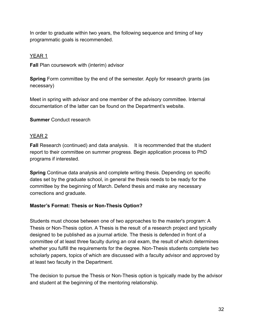In order to graduate within two years, the following sequence and timing of key programmatic goals is recommended.

#### <span id="page-32-0"></span>YEAR 1

**Fall** Plan coursework with (interim) advisor

**Spring** Form committee by the end of the semester. Apply for research grants (as necessary)

Meet in spring with advisor and one member of the advisory committee. Internal documentation of the latter can be found on the Department's website.

#### **Summer** Conduct research

#### <span id="page-32-1"></span>YEAR 2

**Fall** Research (continued) and data analysis. It is recommended that the student report to their committee on summer progress. Begin application process to PhD programs if interested.

**Spring** Continue data analysis and complete writing thesis. Depending on specific dates set by the graduate school, in general the thesis needs to be ready for the committee by the beginning of March. Defend thesis and make any necessary corrections and graduate.

#### <span id="page-32-2"></span>**Master's Format: Thesis or Non-Thesis Option?**

Students must choose between one of two approaches to the master's program: A Thesis or Non-Thesis option. A Thesis is the result of a research project and typically designed to be published as a journal article. The thesis is defended in front of a committee of at least three faculty during an oral exam, the result of which determines whether you fulfill the requirements for the degree. Non-Thesis students complete two scholarly papers, topics of which are discussed with a faculty advisor and approved by at least two faculty in the Department.

The decision to pursue the Thesis or Non-Thesis option is typically made by the advisor and student at the beginning of the mentoring relationship.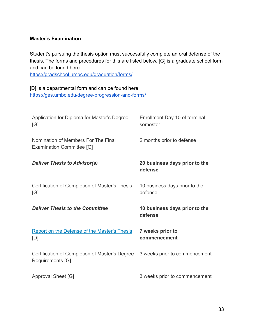#### <span id="page-33-0"></span>**Master's Examination**

Student's pursuing the thesis option must successfully complete an oral defense of the thesis. The forms and procedures for this are listed below. [G] is a graduate school form and can be found here:

<https://gradschool.umbc.edu/graduation/forms/>

[D] is a departmental form and can be found here: <https://ges.umbc.edu/degree-progression-and-forms/>

| Application for Diploma for Master's Degree<br>[G]                      | Enrollment Day 10 of terminal<br>semester |
|-------------------------------------------------------------------------|-------------------------------------------|
| Nomination of Members For The Final<br><b>Examination Committee [G]</b> | 2 months prior to defense                 |
| <b>Deliver Thesis to Advisor(s)</b>                                     | 20 business days prior to the<br>defense  |
| Certification of Completion of Master's Thesis<br>[G]                   | 10 business days prior to the<br>defense  |
|                                                                         |                                           |
| <b>Deliver Thesis to the Committee</b>                                  | 10 business days prior to the<br>defense  |
| <b>Report on the Defense of the Master's Thesis</b><br>[D]              | 7 weeks prior to<br>commencement          |
| Certification of Completion of Master's Degree<br>Requirements [G]      | 3 weeks prior to commencement             |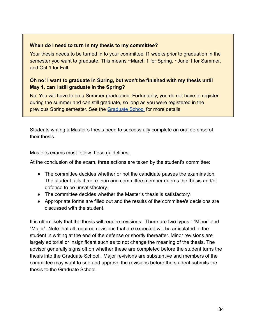#### <span id="page-34-0"></span>**When do I need to turn in my thesis to my committee?**

Your thesis needs to be turned in to your committee 11 weeks prior to graduation in the semester you want to graduate. This means ~March 1 for Spring, ~June 1 for Summer, and Oct 1 for Fall.

#### <span id="page-34-1"></span>**Oh no! I want to graduate in Spring, but won't be finished with my thesis until May 1, can I still graduate in the Spring?**

No. You will have to do a Summer graduation. Fortunately, you do not have to register during the summer and can still graduate, so long as you were registered in the previous Spring semester. See the [Graduate School](https://gradschool.umbc.edu/graduation/reqs/masters/) for more details.

Students writing a Master's thesis need to successfully complete an oral defense of their thesis.

#### <span id="page-34-2"></span>Master's exams must follow these guidelines:

At the conclusion of the exam, three actions are taken by the student's committee:

- The committee decides whether or not the candidate passes the examination. The student fails if more than one committee member deems the thesis and/or defense to be unsatisfactory.
- The committee decides whether the Master's thesis is satisfactory.
- Appropriate forms are filled out and the results of the committee's decisions are discussed with the student.

It is often likely that the thesis will require revisions. There are two types - "Minor" and "Major". Note that all required revisions that are expected will be articulated to the student in writing at the end of the defense or shortly thereafter. Minor revisions are largely editorial or insignificant such as to not change the meaning of the thesis. The advisor generally signs off on whether these are completed before the student turns the thesis into the Graduate School. Major revisions are substantive and members of the committee may want to see and approve the revisions before the student submits the thesis to the Graduate School.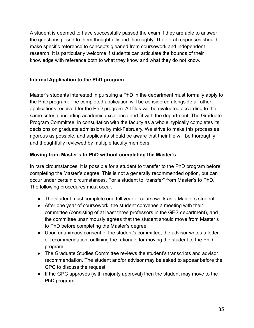A student is deemed to have successfully passed the exam if they are able to answer the questions posed to them thoughtfully and thoroughly. Their oral responses should make specific reference to concepts gleaned from coursework and independent research. It is particularly welcome if students can articulate the bounds of their knowledge with reference both to what they know and what they do not know.

#### <span id="page-35-0"></span>**Internal Application to the PhD program**

Master's students interested in pursuing a PhD in the department must formally apply to the PhD program. The completed application will be considered alongside all other applications received for the PhD program. All files will be evaluated according to the same criteria, including academic excellence and fit with the department. The Graduate Program Committee, in consultation with the faculty as a whole, typically completes its decisions on graduate admissions by mid-February. We strive to make this process as rigorous as possible, and applicants should be aware that their file will be thoroughly and thoughtfully reviewed by multiple faculty members.

#### <span id="page-35-1"></span>**Moving from Master's to PhD without completing the Master's**

In rare circumstances, it is possible for a student to transfer to the PhD program before completing the Master's degree. This is not a generally recommended option, but can occur under certain circumstances. For a student to "transfer" from Master's to PhD. The following procedures must occur.

- The student must complete one full year of coursework as a Master's student.
- After one year of coursework, the student convenes a meeting with their committee (consisting of at least three professors in the GES department), and the committee unanimously agrees that the student should move from Master's to PhD before completing the Master's degree.
- Upon unanimous consent of the student's committee, the advisor writes a letter of recommendation, outlining the rationale for moving the student to the PhD program.
- The Graduate Studies Committee reviews the student's transcripts and advisor recommendation. The student and/or advisor may be asked to appear before the GPC to discuss the request.
- If the GPC approves (with majority approval) then the student may move to the PhD program.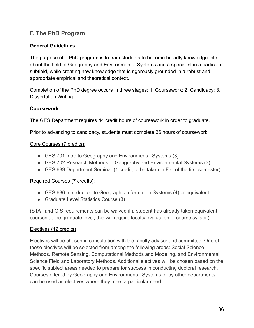## <span id="page-36-0"></span>**F. The PhD Program**

#### <span id="page-36-1"></span>**General Guidelines**

The purpose of a PhD program is to train students to become broadly knowledgeable about the field of Geography and Environmental Systems and a specialist in a particular subfield, while creating new knowledge that is rigorously grounded in a robust and appropriate empirical and theoretical context.

Completion of the PhD degree occurs in three stages: 1. Coursework; 2. Candidacy; 3. Dissertation Writing

#### <span id="page-36-2"></span>**Coursework**

The GES Department requires 44 credit hours of coursework in order to graduate.

Prior to advancing to candidacy, students must complete 26 hours of coursework.

#### <span id="page-36-3"></span>Core Courses (7 credits):

- GES 701 Intro to Geography and Environmental Systems (3)
- GES 702 Research Methods in Geography and Environmental Systems (3)
- GES 689 Department Seminar (1 credit, to be taken in Fall of the first semester)

#### <span id="page-36-4"></span>Required Courses (7 credits):

- GES 686 Introduction to Geographic Information Systems (4) or equivalent
- Graduate Level Statistics Course (3)

(STAT and GIS requirements can be waived if a student has already taken equivalent courses at the graduate level; this will require faculty evaluation of course syllabi.)

#### <span id="page-36-5"></span>Electives (12 credits)

Electives will be chosen in consultation with the faculty advisor and committee. One of these electives will be selected from among the following areas: Social Science Methods, Remote Sensing, Computational Methods and Modeling, and Environmental Science Field and Laboratory Methods. Additional electives will be chosen based on the specific subject areas needed to prepare for success in conducting doctoral research. Courses offered by Geography and Environmental Systems or by other departments can be used as electives where they meet a particular need.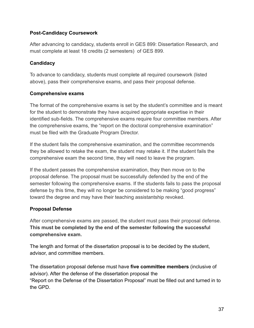#### <span id="page-37-0"></span>**Post-Candidacy Coursework**

After advancing to candidacy, students enroll in GES 899: Dissertation Research, and must complete at least 18 credits (2 semesters) of GES 899.

#### <span id="page-37-1"></span>**Candidacy**

To advance to candidacy, students must complete all required coursework (listed above), pass their comprehensive exams, and pass their proposal defense.

#### <span id="page-37-2"></span>**Comprehensive exams**

The format of the comprehensive exams is set by the student's committee and is meant for the student to demonstrate they have acquired appropriate expertise in their identified sub-fields. The comprehensive exams require four committee members. After the comprehensive exams, the "report on the doctoral comprehensive examination" must be filed with the Graduate Program Director.

If the student fails the comprehensive examination, and the committee recommends they be allowed to retake the exam, the student may retake it. If the student fails the comprehensive exam the second time, they will need to leave the program.

If the student passes the comprehensive examination, they then move on to the proposal defense. The proposal must be successfully defended by the end of the semester following the comprehensive exams. If the students fails to pass the proposal defense by this time, they will no longer be considered to be making "good progress" toward the degree and may have their teaching assistantship revoked.

#### <span id="page-37-3"></span>**Proposal Defense**

After comprehensive exams are passed, the student must pass their proposal defense. **This must be completed by the end of the semester following the successful comprehensive exam.**

The length and format of the dissertation proposal is to be decided by the student, advisor, and committee members.

The dissertation proposal defense must have **five committee members** (inclusive of advisor). After the defense of the dissertation proposal the "Report on the Defense of the Dissertation Proposal" must be filled out and turned in to the GPD.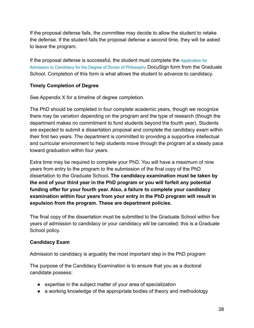If the proposal defense fails, the committee may decide to allow the student to retake the defense. If the student fails the proposal defense a second time, they will be asked to leave the program.

If the proposal defense is successful, the student must complete the [Application](http://umbc.edu/go/665) for Admission to Candidacy for the Degree of Doctor of [Philosophy](http://umbc.edu/go/665) DocuSign form from the Graduate School. Completion of this form is what allows the student to advance to candidacy.

#### <span id="page-38-0"></span>**Timely Completion of Degree**

See Appendix X for a timeline of degree completion.

The PhD should be completed in four complete academic years, though we recognize there may be variation depending on the program and the type of research (though the department makes no commitment to fund students beyond the fourth year). Students are expected to submit a dissertation proposal and complete the candidacy exam within their first two years. The department is committed to providing a supportive intellectual and curricular environment to help students move through the program at a steady pace toward graduation within four years.

Extra time may be required to complete your PhD. You will have a maximum of nine years from entry to the program to the submission of the final copy of the PhD dissertation to the Graduate School**. The candidacy examination must be taken by the end of your third year in the PhD program or you will forfeit any potential funding offer for your fourth year. Also, a failure to complete your candidacy examination within four years from your entry in the PhD program will result in expulsion from the program. These are department policies.**

The final copy of the dissertation must be submitted to the Graduate School within five years of admission to candidacy or your candidacy will be canceled; this is a Graduate School policy.

#### <span id="page-38-1"></span>**Candidacy Exam**

Admission to candidacy is arguably the most important step in the PhD program

The purpose of the Candidacy Examination is to ensure that you as a doctoral candidate possess:

- expertise in the subject matter of your area of specialization
- a working knowledge of the appropriate bodies of theory and methodology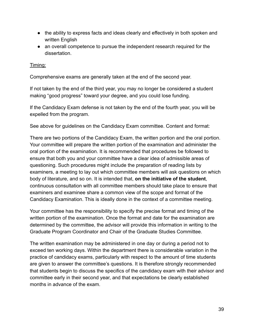- the ability to express facts and ideas clearly and effectively in both spoken and written English
- an overall competence to pursue the independent research required for the dissertation.

#### <span id="page-39-0"></span>Timing:

Comprehensive exams are generally taken at the end of the second year.

If not taken by the end of the third year, you may no longer be considered a student making "good progress" toward your degree, and you could lose funding.

If the Candidacy Exam defense is not taken by the end of the fourth year, you will be expelled from the program.

See above for guidelines on the Candidacy Exam committee. Content and format:

There are two portions of the Candidacy Exam, the written portion and the oral portion. Your committee will prepare the written portion of the examination and administer the oral portion of the examination. It is recommended that procedures be followed to ensure that both you and your committee have a clear idea of admissible areas of questioning. Such procedures might include the preparation of reading lists by examiners, a meeting to lay out which committee members will ask questions on which body of literature, and so on. It is intended that, **on the initiative of the student**, continuous consultation with all committee members should take place to ensure that examiners and examinee share a common view of the scope and format of the Candidacy Examination. This is ideally done in the context of a committee meeting.

Your committee has the responsibility to specify the precise format and timing of the written portion of the examination. Once the format and date for the examination are determined by the committee, the advisor will provide this information in writing to the Graduate Program Coordinator and Chair of the Graduate Studies Committee.

The written examination may be administered in one day or during a period not to exceed ten working days. Within the department there is considerable variation in the practice of candidacy exams, particularly with respect to the amount of time students are given to answer the committee's questions. It is therefore strongly recommended that students begin to discuss the specifics of the candidacy exam with their advisor and committee early in their second year, and that expectations be clearly established months in advance of the exam.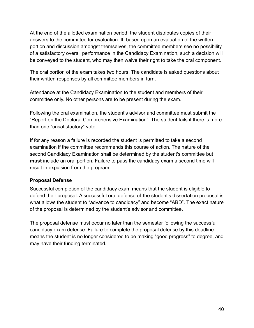At the end of the allotted examination period, the student distributes copies of their answers to the committee for evaluation. If, based upon an evaluation of the written portion and discussion amongst themselves, the committee members see no possibility of a satisfactory overall performance in the Candidacy Examination, such a decision will be conveyed to the student, who may then waive their right to take the oral component.

The oral portion of the exam takes two hours. The candidate is asked questions about their written responses by all committee members in turn.

Attendance at the Candidacy Examination to the student and members of their committee only. No other persons are to be present during the exam.

Following the oral examination, the student's advisor and committee must submit the "Report on the Doctoral Comprehensive Examination". The student fails if there is more than one "unsatisfactory" vote.

If for any reason a failure is recorded the student is permitted to take a second examination if the committee recommends this course of action. The nature of the second Candidacy Examination shall be determined by the student's committee but **must** include an oral portion. Failure to pass the candidacy exam a second time will result in expulsion from the program.

#### <span id="page-40-0"></span>**Proposal Defense**

Successful completion of the candidacy exam means that the student is eligible to defend their proposal. A successful oral defense of the student's dissertation proposal is what allows the student to "advance to candidacy" and become "ABD". The exact nature of the proposal is determined by the student's advisor and committee.

The proposal defense must occur no later than the semester following the successful candidacy exam defense. Failure to complete the proposal defense by this deadline means the student is no longer considered to be making "good progress" to degree, and may have their funding terminated.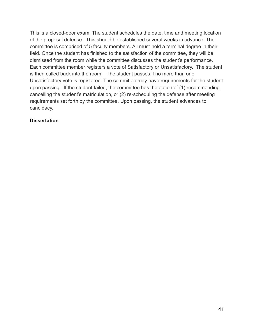This is a closed-door exam. The student schedules the date, time and meeting location of the proposal defense. This should be established several weeks in advance. The committee is comprised of 5 faculty members. All must hold a terminal degree in their field. Once the student has finished to the satisfaction of the committee, they will be dismissed from the room while the committee discusses the student's performance. Each committee member registers a vote of Satisfactory or Unsatisfactory. The student is then called back into the room. The student passes if no more than one Unsatisfactory vote is registered. The committee may have requirements for the student upon passing. If the student failed, the committee has the option of (1) recommending cancelling the student's matriculation, or (2) re-scheduling the defense after meeting requirements set forth by the committee. Upon passing, the student advances to candidacy.

#### <span id="page-41-0"></span>**Dissertation**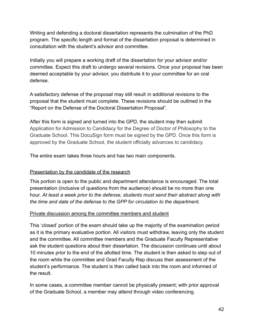Writing and defending a doctoral dissertation represents the culmination of the PhD program. The specific length and format of the dissertation proposal is determined in consultation with the student's advisor and committee.

Initially you will prepare a working draft of the dissertation for your advisor and/or committee. Expect this draft to undergo several revisions. Once your proposal has been deemed acceptable by your advisor, you distribute it to your committee for an oral defense.

A satisfactory defense of the proposal may still result in additional revisions to the proposal that the student must complete. These revisions should be outlined in the "Report on the Defense of the Doctoral Dissertation Proposal".

After this form is signed and turned into the GPD, the student may then submit Application for Admission to Candidacy for the Degree of Doctor of Philosophy to the Graduate School. This DocuSign form must be signed by the GPD. Once this form is approved by the Graduate School, the student officially advances to candidacy.

The entire exam takes three hours and has two main components.

#### <span id="page-42-0"></span>Presentation by the candidate of the research

This portion is open to the public and department attendance is encouraged. The total presentation (inclusive of questions from the audience) should be no more than one hour. *At least a week prior to the defense, students must send their abstract along with the time and date of the defense to the GPP for circulation to the department.*

#### <span id="page-42-1"></span>Private discussion among the committee members and student

This 'closed' portion of the exam should take up the majority of the examination period as it is the primary evaluative portion. All visitors must withdraw, leaving only the student and the committee. All committee members and the Graduate Faculty Representative ask the student questions about their dissertation. The discussion continues until about 10 minutes prior to the end of the allotted time. The student is then asked to step out of the room while the committee and Grad Faculty Rep discuss their assessment of the student's performance. The student is then called back into the room and informed of the result.

In some cases, a committee member cannot be physically present; with prior approval of the Graduate School, a member may attend through video conferencing.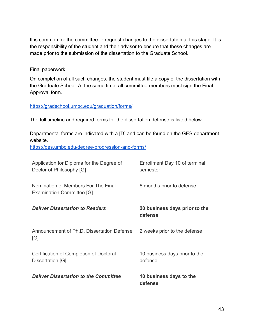It is common for the committee to request changes to the dissertation at this stage. It is the responsibility of the student and their advisor to ensure that these changes are made prior to the submission of the dissertation to the Graduate School.

#### <span id="page-43-0"></span>Final paperwork

On completion of all such changes, the student must file a copy of the dissertation with the Graduate School. At the same time, all committee members must sign the Final Approval form.

#### <https://gradschool.umbc.edu/graduation/forms/>

The full timeline and required forms for the dissertation defense is listed below:

Departmental forms are indicated with a [D] and can be found on the GES department website.

<https://ges.umbc.edu/degree-progression-and-forms/>

| Application for Diploma for the Degree of<br>Doctor of Philosophy [G]   | Enrollment Day 10 of terminal<br>semester |
|-------------------------------------------------------------------------|-------------------------------------------|
| Nomination of Members For The Final<br><b>Examination Committee [G]</b> | 6 months prior to defense                 |
| <b>Deliver Dissertation to Readers</b>                                  | 20 business days prior to the<br>defense  |
| Announcement of Ph.D. Dissertation Defense<br>[G]                       | 2 weeks prior to the defense              |
| Certification of Completion of Doctoral<br>Dissertation [G]             | 10 business days prior to the<br>defense  |
| <b>Deliver Dissertation to the Committee</b>                            | 10 business days to the<br>defense        |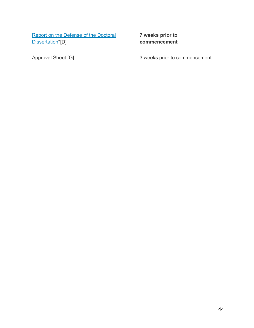[Report on the Defense of the Doctoral](http://ges.umbc.edu/files/2013/02/PhD-Dissertation-Defense.docx) [Dissertation\\*](http://ges.umbc.edu/files/2013/02/PhD-Dissertation-Defense.docx)[D]

**7 weeks prior to commencement**

Approval Sheet [G] 3 weeks prior to commencement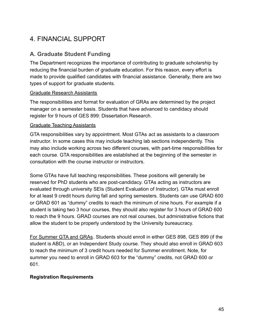# <span id="page-45-0"></span>4. FINANCIAL SUPPORT

## <span id="page-45-1"></span>**A. Graduate Student Funding**

The Department recognizes the importance of contributing to graduate scholarship by reducing the financial burden of graduate education. For this reason, every effort is made to provide qualified candidates with financial assistance. Generally, there are two types of support for graduate students.

#### <span id="page-45-2"></span>Graduate Research Assistants

The responsibilities and format for evaluation of GRAs are determined by the project manager on a semester basis. Students that have advanced to candidacy should register for 9 hours of GES 899: Dissertation Research.

#### <span id="page-45-3"></span>Graduate Teaching Assistants

GTA responsibilities vary by appointment. Most GTAs act as assistants to a classroom instructor. In some cases this may include teaching lab sections independently. This may also include working across two different courses, with part-time responsibilities for each course. GTA responsibilities are established at the beginning of the semester in consultation with the course instructor or instructors.

Some GTAs have full teaching responsibilities. These positions will generally be reserved for PhD students who are post-candidacy. GTAs acting as instructors are evaluated through university SEIs (Student Evaluation of Instructor). GTAs must enroll for at least 9 credit hours during fall and spring semesters. Students can use GRAD 600 or GRAD 601 as "dummy" credits to reach the minimum of nine hours. For example if a student is taking two 3 hour courses, they should also register for 3 hours of GRAD 600 to reach the 9 hours. GRAD courses are not real courses, but administrative fictions that allow the student to be properly understood by the University bureaucracy.

For Summer GTA and GRAs. Students should enroll in either GES 898, GES 899 (if the student is ABD), or an Independent Study course. They should also enroll in GRAD 603 to reach the minimum of 3 credit hours needed for Summer enrollment. Note, for summer you need to enroll in GRAD 603 for the "dummy" credits, not GRAD 600 or 601.

#### <span id="page-45-4"></span>**Registration Requirements**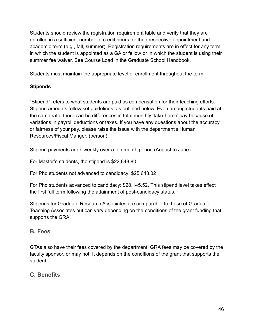Students should review the registration requirement table and verify that they are enrolled in a sufficient number of credit hours for their respective appointment and academic term (e.g., fall, summer). Registration requirements are in effect for any term in which the student is appointed as a GA or fellow or in which the student is using their summer fee waiver. See Course Load in the Graduate School Handbook.

Students must maintain the appropriate level of enrollment throughout the term.

### <span id="page-46-0"></span>**Stipends**

"Stipend" refers to what students are paid as compensation for their teaching efforts. Stipend amounts follow set guidelines, as outlined below. Even among students paid at the same rate, there can be differences in total monthly 'take-home' pay because of variations in payroll deductions or taxes. If you have any questions about the accuracy or fairness of your pay, please raise the issue with the department's Human Resources/Fiscal Manger, (person).

Stipend payments are biweekly over a ten month period (August to June).

For Master's students, the stipend is \$22,848.80

For Phd students not advanced to candidacy: \$25,643.02

For Phd students advanced to candidacy: \$28,145.52. This stipend level takes effect the first full term following the attainment of post-candidacy status.

Stipends for Graduate Research Associates are comparable to those of Graduate Teaching Associates but can vary depending on the conditions of the grant funding that supports the GRA.

## <span id="page-46-1"></span>**B. Fees**

GTAs also have their fees covered by the department. GRA fees may be covered by the faculty sponsor, or may not. It depends on the conditions of the grant that supports the student.

## <span id="page-46-2"></span>**C. Benefits**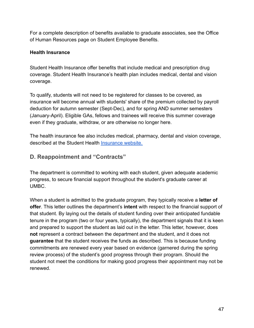For a complete description of benefits available to graduate associates, see the Office of Human Resources page on Student Employee Benefits.

#### <span id="page-47-0"></span>**Health Insurance**

Student Health Insurance offer benefits that include medical and prescription drug coverage. Student Health Insurance's health plan includes medical, dental and vision coverage.

To qualify, students will not need to be registered for classes to be covered, as insurance will become annual with students' share of the premium collected by payroll deduction for autumn semester (Sept-Dec), and for spring AND summer semesters (January-April). Eligible GAs, fellows and trainees will receive this summer coverage even if they graduate, withdraw, or are otherwise no longer here.

The health insurance fee also includes medical, pharmacy, dental and vision coverage, described at the Student Health [Insurance website.](https://uhs.umbc.edu/insurance-billing/)

## <span id="page-47-1"></span>**D. Reappointment and "Contracts"**

The department is committed to working with each student, given adequate academic progress, to secure financial support throughout the student's graduate career at UMBC.

When a student is admitted to the graduate program, they typically receive a **letter of offer**. This letter outlines the department's **intent** with respect to the financial support of that student. By laying out the details of student funding over their anticipated fundable tenure in the program (two or four years, typically), the department signals that it is keen and prepared to support the student as laid out in the letter. This letter, however, does **not** represent a contract between the department and the student, and it does not **guarantee** that the student receives the funds as described. This is because funding commitments are renewed every year based on evidence (garnered during the spring review process) of the student's good progress through their program. Should the student not meet the conditions for making good progress their appointment may not be renewed.